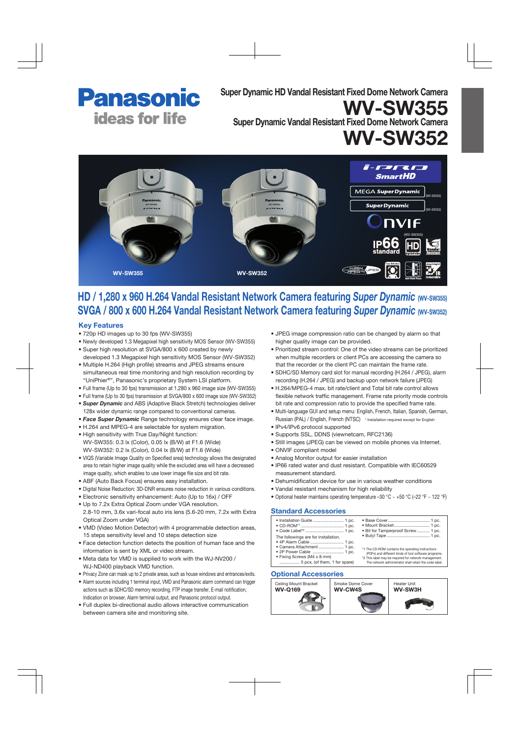

Super Dynamic HD Vandal Resistant Fixed Dome Network Camera

Super Dynamic Vandal Resistant Fixed Dome Network Camera

WV-SW352

WV-SW355



# HD / 1,280 x 960 H.264 Vandal Resistant Network Camera featuring *Super Dynamic* (WV-SW355) SVGA / 800 x 600 H.264 Vandal Resistant Network Camera featuring *Super Dynamic* (WV-SW352)

#### Key Features

- 720p HD images up to 30 fps (WV-SW355)
- Newly developed 1.3 Megapixel high sensitivity MOS Sensor (WV-SW355)
- Super high resolution at SVGA/800 x 600 created by newly developed 1.3 Megapixel high sensitivity MOS Sensor (WV-SW352)
- Multiple H.264 (High profile) streams and JPEG streams ensure simultaneous real time monitoring and high resolution recording by "UniPhier®", Panasonic's proprietary System LSI platform.
- Full frame (Up to 30 fps) transmission at 1,280 x 960 image size (WV-SW355)
- Full frame (Up to 30 fps) transmission at SVGA/800 x 600 image size (WV-SW352)
- *Super Dynamic* and ABS (Adaptive Black Stretch) technologies deliver 128x wider dynamic range compared to conventional cameras.
- *Face Super Dynamic* Range technology ensures clear face image.
- H.264 and MPEG-4 are selectable for system migration. • High sensitivity with True Day/Night function: WV-SW355: 0.3 lx (Color), 0.05 lx (B/W) at F1.6 (Wide) WV-SW352: 0.2 lx (Color), 0.04 lx (B/W) at F1.6 (Wide)
- VIQS (Variable Image Quality on Specified area) technology allows the designated area to retain higher image quality while the excluded area will have a decreased image quality, which enables to use lower image file size and bit rate.
- ABF (Auto Back Focus) ensures easy installation.
- Digital Noise Reduction: 3D-DNR ensures noise reduction in various conditions.
- Electronic sensitivity enhancement: Auto (Up to 16x) / OFF
- Up to 7.2x Extra Optical Zoom under VGA resolution. 2.8-10 mm, 3.6x vari-focal auto iris lens (5.6-20 mm, 7.2x with Extra Optical Zoom under VGA)
- VMD (Video Motion Detector) with 4 programmable detection areas, 15 steps sensitivity level and 10 steps detection size
- Face detection function detects the position of human face and the information is sent by XML or video stream.
- Meta data for VMD is supplied to work with the WJ-NV200 / WJ-ND400 playback VMD function.
- Privacy Zone can mask up to 2 private areas, such as house windows and entrances/exits.
- Alarm sources including 1 terminal input, VMD and Panasonic alarm command can trigger actions such as SDHC/SD memory recording, FTP image transfer, E-mail notification, Indication on browser, Alarm terminal output, and Panasonic protocol output.
- Full duplex bi-directional audio allows interactive communication between camera site and monitoring site.
- JPEG image compression ratio can be changed by alarm so that higher quality image can be provided.
- Prioritized stream control: One of the video streams can be prioritized when multiple recorders or client PCs are accessing the camera so that the recorder or the client PC can maintain the frame rate.
- SDHC/SD Memory card slot for manual recording (H.264 / JPEG), alarm recording (H.264 / JPEG) and backup upon network failure (JPEG)
- H.264/MPEG-4 max. bit rate/client and Total bit rate control allows flexible network traffic management. Frame rate priority mode controls bit rate and compression ratio to provide the specified frame rate.
- Multi-language GUI and setup menu: English, French, Italian, Spanish, German, Russian (PAL) / English, French (NTSC) \* Installation required except for English
- IPv4/IPv6 protocol supported
- Supports SSL, DDNS (viewnetcam, RFC2136)
- Still images (JPEG) can be viewed on mobile phones via Internet.
- ONVIF compliant model
- Analog Monitor output for easier installation
- IP66 rated water and dust resistant. Compatible with IEC60529 measurement standard.
- Dehumidification device for use in various weather conditions
- Vandal resistant mechanism for high reliability
- Optional heater maintains operating temperature -30 °C  $\sim$  +50 °C (-22 °F  $\sim$  122 °F)

### Standard Accessories

| · Installation Guide  1 pc.                                                                                                                                                              | · Base Cover                                                                                                  |
|------------------------------------------------------------------------------------------------------------------------------------------------------------------------------------------|---------------------------------------------------------------------------------------------------------------|
|                                                                                                                                                                                          | • Mount Bracket.                                                                                              |
| • Code Label* <sup>2</sup> 1 pc.                                                                                                                                                         | • Bit for Tamperp                                                                                             |
| The followings are for installation.<br>• 4P Alarm Cable  1 pc.<br>• Camera Attachment  1 pc.<br>• 2P Power Cable  1 pc.<br>• Fixing Screws (M4 x 8 mm)<br>5 pcs. (of them, 1 for spare) | • Butyl Tape<br>*1 The CD-ROM conta<br>(PDFs) and different<br>*2 This label may be re<br>The network admini: |

• Base Cover................................... 1 pc. • Bit for Tamperproof Screw ........... 1 pc. yl Tape \*1 The CD-ROM contains the operating instructions (PDFs) and different kinds of tool software programs. \*2 This label may be required for network management. The network administrator shall retain the code label.

### Optional Accessories